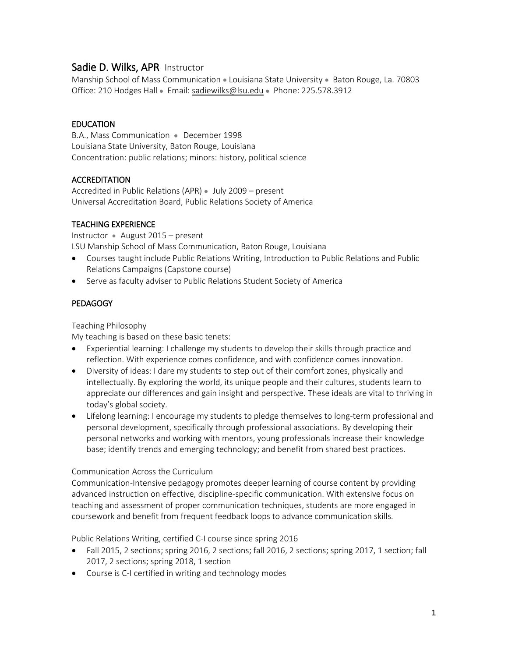# Sadie D. Wilks, APR Instructor

Manship School of Mass Communication • Louisiana State University • Baton Rouge, La. 70803 Office: 210 Hodges Hall • Email: [sadiewilks@lsu.edu](mailto:sadiewilks@lsu.edu) • Phone: 225.578.3912

### **EDUCATION**

B.A., Mass Communication • December 1998 Louisiana State University, Baton Rouge, Louisiana Concentration: public relations; minors: history, political science

### **ACCREDITATION**

Accredited in Public Relations (APR) • July 2009 – present Universal Accreditation Board, Public Relations Society of America

## TEACHING EXPERIENCE

Instructor • August 2015 – present LSU Manship School of Mass Communication, Baton Rouge, Louisiana

- Courses taught include Public Relations Writing, Introduction to Public Relations and Public Relations Campaigns (Capstone course)
- Serve as faculty adviser to Public Relations Student Society of America

## PEDAGOGY

Teaching Philosophy

My teaching is based on these basic tenets:

- Experiential learning: I challenge my students to develop their skills through practice and reflection. With experience comes confidence, and with confidence comes innovation.
- Diversity of ideas: I dare my students to step out of their comfort zones, physically and intellectually. By exploring the world, its unique people and their cultures, students learn to appreciate our differences and gain insight and perspective. These ideals are vital to thriving in today's global society.
- Lifelong learning: I encourage my students to pledge themselves to long-term professional and personal development, specifically through professional associations. By developing their personal networks and working with mentors, young professionals increase their knowledge base; identify trends and emerging technology; and benefit from shared best practices.

### Communication Across the Curriculum

Communication-Intensive pedagogy promotes deeper learning of course content by providing advanced instruction on effective, discipline-specific communication. With extensive focus on teaching and assessment of proper communication techniques, students are more engaged in coursework and benefit from frequent feedback loops to advance communication skills.

Public Relations Writing, certified C-I course since spring 2016

- Fall 2015, 2 sections; spring 2016, 2 sections; fall 2016, 2 sections; spring 2017, 1 section; fall 2017, 2 sections; spring 2018, 1 section
- Course is C-I certified in writing and technology modes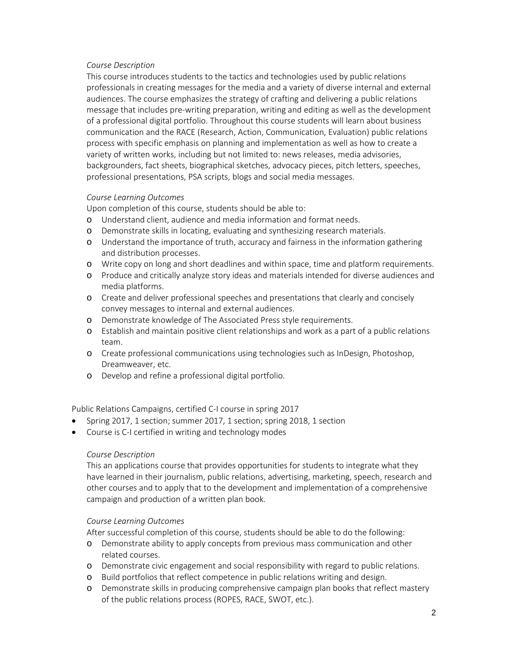#### *Course Description*

This course introduces students to the tactics and technologies used by public relations professionals in creating messages for the media and a variety of diverse internal and external audiences. The course emphasizes the strategy of crafting and delivering a public relations message that includes pre-writing preparation, writing and editing as well as the development of a professional digital portfolio. Throughout this course students will learn about business communication and the RACE (Research, Action, Communication, Evaluation) public relations process with specific emphasis on planning and implementation as well as how to create a variety of written works, including but not limited to: news releases, media advisories, backgrounders, fact sheets, biographical sketches, advocacy pieces, pitch letters, speeches, professional presentations, PSA scripts, blogs and social media messages.

### *Course Learning Outcomes*

Upon completion of this course, students should be able to:

- o Understand client, audience and media information and format needs.
- o Demonstrate skills in locating, evaluating and synthesizing research materials.
- o Understand the importance of truth, accuracy and fairness in the information gathering and distribution processes.
- o Write copy on long and short deadlines and within space, time and platform requirements.
- o Produce and critically analyze story ideas and materials intended for diverse audiences and media platforms.
- o Create and deliver professional speeches and presentations that clearly and concisely convey messages to internal and external audiences.
- o Demonstrate knowledge of The Associated Press style requirements.
- o Establish and maintain positive client relationships and work as a part of a public relations team.
- o Create professional communications using technologies such as InDesign, Photoshop, Dreamweaver, etc.
- o Develop and refine a professional digital portfolio.

Public Relations Campaigns, certified C-I course in spring 2017

- Spring 2017, 1 section; summer 2017, 1 section; spring 2018, 1 section
- Course is C-I certified in writing and technology modes

### *Course Description*

This an applications course that provides opportunities for students to integrate what they have learned in their journalism, public relations, advertising, marketing, speech, research and other courses and to apply that to the development and implementation of a comprehensive campaign and production of a written plan book.

### *Course Learning Outcomes*

After successful completion of this course, students should be able to do the following:

- o Demonstrate ability to apply concepts from previous mass communication and other related courses.
- o Demonstrate civic engagement and social responsibility with regard to public relations.
- o Build portfolios that reflect competence in public relations writing and design.
- o Demonstrate skills in producing comprehensive campaign plan books that reflect mastery of the public relations process (ROPES, RACE, SWOT, etc.).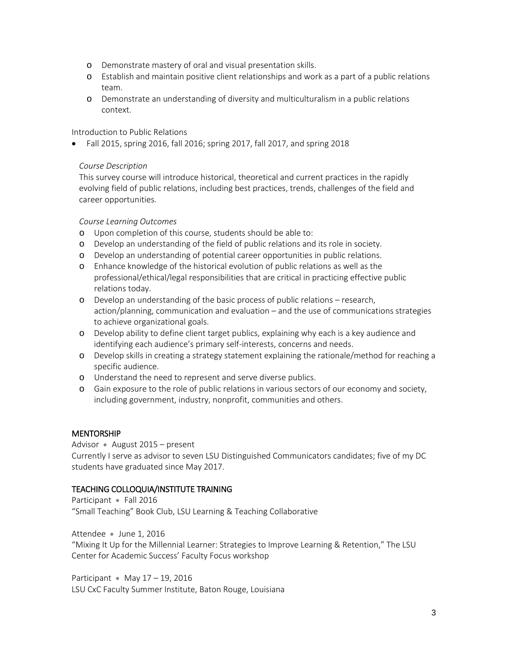- o Demonstrate mastery of oral and visual presentation skills.
- o Establish and maintain positive client relationships and work as a part of a public relations team.
- o Demonstrate an understanding of diversity and multiculturalism in a public relations context.

Introduction to Public Relations

• Fall 2015, spring 2016, fall 2016; spring 2017, fall 2017, and spring 2018

### *Course Description*

This survey course will introduce historical, theoretical and current practices in the rapidly evolving field of public relations, including best practices, trends, challenges of the field and career opportunities.

### *Course Learning Outcomes*

- o Upon completion of this course, students should be able to:
- o Develop an understanding of the field of public relations and its role in society.
- o Develop an understanding of potential career opportunities in public relations.
- o Enhance knowledge of the historical evolution of public relations as well as the professional/ethical/legal responsibilities that are critical in practicing effective public relations today.
- o Develop an understanding of the basic process of public relations research, action/planning, communication and evaluation – and the use of communications strategies to achieve organizational goals.
- o Develop ability to define client target publics, explaining why each is a key audience and identifying each audience's primary self-interests, concerns and needs.
- o Develop skills in creating a strategy statement explaining the rationale/method for reaching a specific audience.
- o Understand the need to represent and serve diverse publics.
- o Gain exposure to the role of public relations in various sectors of our economy and society, including government, industry, nonprofit, communities and others.

### MENTORSHIP

Advisor • August 2015 – present Currently I serve as advisor to seven LSU Distinguished Communicators candidates; five of my DC students have graduated since May 2017.

### TEACHING COLLOQUIA/INSTITUTE TRAINING

Participant • Fall 2016 "Small Teaching" Book Club, LSU Learning & Teaching Collaborative

Attendee • June 1, 2016 "Mixing It Up for the Millennial Learner: Strategies to Improve Learning & Retention," The LSU Center for Academic Success' Faculty Focus workshop

Participant • May 17 – 19, 2016 LSU CxC Faculty Summer Institute, Baton Rouge, Louisiana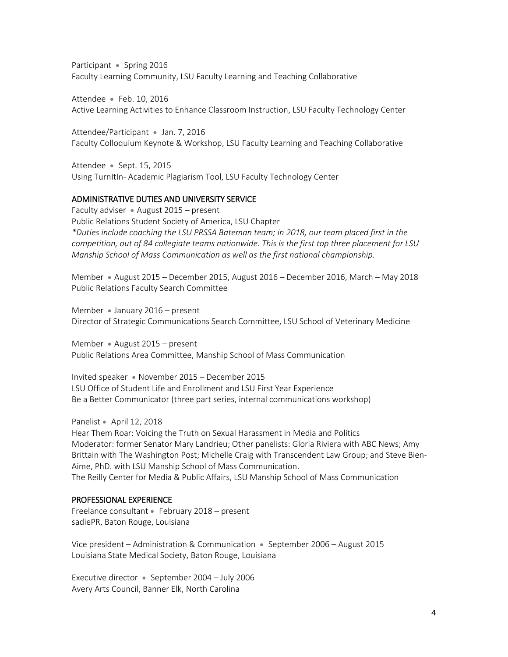Participant • Spring 2016 Faculty Learning Community, LSU Faculty Learning and Teaching Collaborative

Attendee • Feb. 10, 2016 Active Learning Activities to Enhance Classroom Instruction, LSU Faculty Technology Center

Attendee/Participant • Jan. 7, 2016 Faculty Colloquium Keynote & Workshop, LSU Faculty Learning and Teaching Collaborative

Attendee • Sept. 15, 2015 Using TurnItIn- Academic Plagiarism Tool, LSU Faculty Technology Center

#### ADMINISTRATIVE DUTIES AND UNIVERSITY SERVICE

Faculty adviser • August 2015 – present Public Relations Student Society of America, LSU Chapter *\*Duties include coaching the LSU PRSSA Bateman team; in 2018, our team placed first in the competition, out of 84 collegiate teams nationwide. This is the first top three placement for LSU Manship School of Mass Communication as well as the first national championship.* 

Member • August 2015 – December 2015, August 2016 – December 2016, March – May 2018 Public Relations Faculty Search Committee

Member • January 2016 – present Director of Strategic Communications Search Committee, LSU School of Veterinary Medicine

Member • August 2015 – present Public Relations Area Committee, Manship School of Mass Communication

Invited speaker • November 2015 – December 2015 LSU Office of Student Life and Enrollment and LSU First Year Experience Be a Better Communicator (three part series, internal communications workshop)

Panelist • April 12, 2018

Hear Them Roar: Voicing the Truth on Sexual Harassment in Media and Politics Moderator: former Senator Mary Landrieu; Other panelists: Gloria Riviera with ABC News; Amy Brittain with The Washington Post; Michelle Craig with Transcendent Law Group; and Steve Bien-Aime, PhD. with LSU Manship School of Mass Communication. The Reilly Center for Media & Public Affairs, LSU Manship School of Mass Communication

#### PROFESSIONAL EXPERIENCE

Freelance consultant • February 2018 – present sadiePR, Baton Rouge, Louisiana

Vice president – Administration & Communication • September 2006 – August 2015 Louisiana State Medical Society, Baton Rouge, Louisiana

Executive director • September 2004 – July 2006 Avery Arts Council, Banner Elk, North Carolina